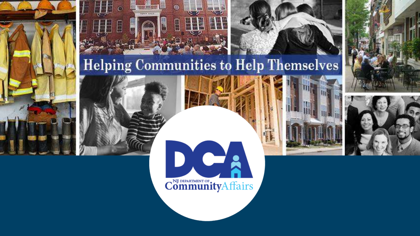



#### **Helping Communities to Help Themselves**







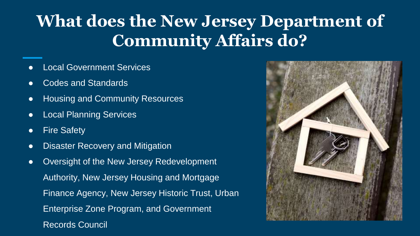#### **What does the New Jersey Department of Community Affairs do?**

- **Local Government Services**
- Codes and Standards
- Housing and Community Resources
- Local Planning Services
- Fire Safety
- Disaster Recovery and Mitigation
- Oversight of the New Jersey Redevelopment Authority, New Jersey Housing and Mortgage Finance Agency, New Jersey Historic Trust, Urban Enterprise Zone Program, and Government Records Council

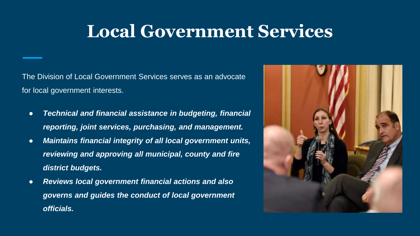### **Local Government Services**

The Division of Local Government Services serves as an advocate for local government interests.

- *Technical and financial assistance in budgeting, financial reporting, joint services, purchasing, and management.*
- *Maintains financial integrity of all local government units, reviewing and approving all municipal, county and fire district budgets.*
- *Reviews local government financial actions and also governs and guides the conduct of local government officials.*

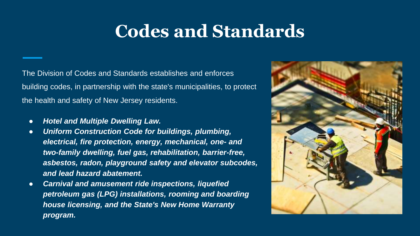### **Codes and Standards**

The Division of Codes and Standards establishes and enforces building codes, in partnership with the state's municipalities, to protect the health and safety of New Jersey residents.

- *Hotel and Multiple Dwelling Law.*
- *Uniform Construction Code for buildings, plumbing, electrical, fire protection, energy, mechanical, one- and two-family dwelling, fuel gas, rehabilitation, barrier-free, asbestos, radon, playground safety and elevator subcodes, and lead hazard abatement.*
- *Carnival and amusement ride inspections, liquefied petroleum gas (LPG) installations, rooming and boarding house licensing, and the State's New Home Warranty program.*

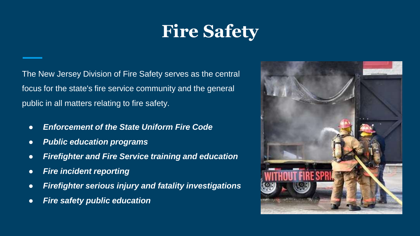## **Fire Safety**

The New Jersey Division of Fire Safety serves as the central focus for the state's fire service community and the general public in all matters relating to fire safety.

- *Enforcement of the State Uniform Fire Code*
- *Public education programs*
- *Firefighter and Fire Service training and education*
- *Fire incident reporting*
- *Firefighter serious injury and fatality investigations*
- *Fire safety public education*

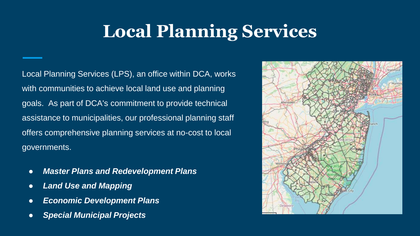### **Local Planning Services**

Local Planning Services (LPS), an office within DCA, works with communities to achieve local land use and planning goals. As part of DCA's commitment to provide technical assistance to municipalities, our professional planning staff offers comprehensive planning services at no-cost to local governments.

- *Master Plans and Redevelopment Plans*
- *Land Use and Mapping*
- *Economic Development Plans*
- *Special Municipal Projects*

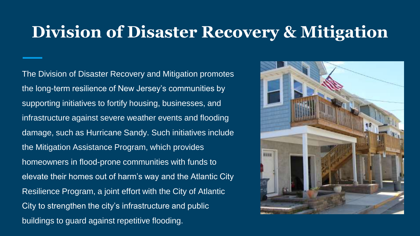#### **Division of Disaster Recovery & Mitigation**

The Division of Disaster Recovery and Mitigation promotes the long-term resilience of New Jersey's communities by supporting initiatives to fortify housing, businesses, and infrastructure against severe weather events and flooding damage, such as Hurricane Sandy. Such initiatives include the Mitigation Assistance Program, which provides homeowners in flood-prone communities with funds to elevate their homes out of harm's way and the Atlantic City Resilience Program, a joint effort with the City of Atlantic City to strengthen the city's infrastructure and public buildings to guard against repetitive flooding.

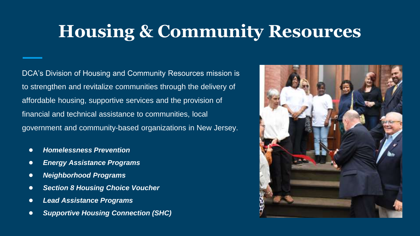### **Housing & Community Resources**

DCA's Division of Housing and Community Resources mission is to strengthen and revitalize communities through the delivery of affordable housing, supportive services and the provision of financial and technical assistance to communities, local government and community-based organizations in New Jersey.

- *Homelessness Prevention*
- *Energy Assistance Programs*
- *Neighborhood Programs*
- *Section 8 Housing Choice Voucher*
- *Lead Assistance Programs*
- *Supportive Housing Connection (SHC)*

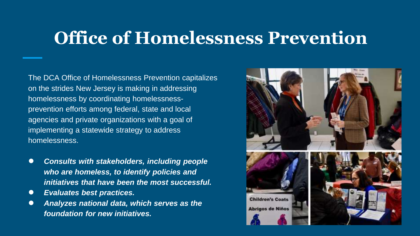#### **Office of Homelessness Prevention**

The DCA Office of Homelessness Prevention capitalizes on the strides New Jersey is making in addressing homelessness by coordinating homelessnessprevention efforts among federal, state and local agencies and private organizations with a goal of implementing a statewide strategy to address homelessness.

- *Consults with stakeholders, including people who are homeless, to identify policies and initiatives that have been the most successful.*
- *Evaluates best practices.*
- *Analyzes national data, which serves as the foundation for new initiatives.*

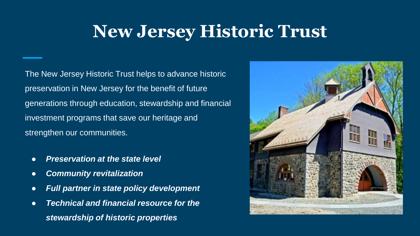### **New Jersey Historic Trust**

The New Jersey Historic Trust helps to advance historic preservation in New Jersey for the benefit of future generations through education, stewardship and financial investment programs that save our heritage and strengthen our communities.

- *Preservation at the state level*
- *Community revitalization*
- *Full partner in state policy development*
- *Technical and financial resource for the stewardship of historic properties*

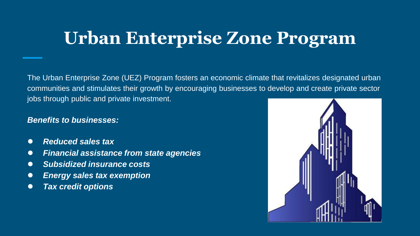### **Urban Enterprise Zone Program**

The Urban Enterprise Zone (UEZ) Program fosters an economic climate that revitalizes designated urban communities and stimulates their growth by encouraging businesses to develop and create private sector jobs through public and private investment.

#### *Benefits to businesses:*

- *Reduced sales tax*
- *Financial assistance from state agencies*
- *Subsidized insurance costs*
- *Energy sales tax exemption*
- *Tax credit options*

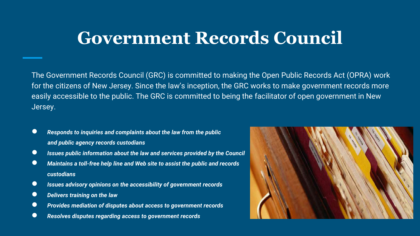#### **Government Records Council**

The Government Records Council (GRC) is committed to making the Open Public Records Act (OPRA) work for the citizens of New Jersey. Since the law's inception, the GRC works to make government records more easily accessible to the public. The GRC is committed to being the facilitator of open government in New Jersey.

- *Responds to inquiries and complaints about the law from the public and public agency records custodians*
- *Issues public information about the law and services provided by the Council*
- *Maintains a toll-free help line and Web site to assist the public and records custodians*
- *Issues advisory opinions on the accessibility of government records*
- *Delivers training on the law*
- *Provides mediation of disputes about access to government records*
- *Resolves disputes regarding access to government records*

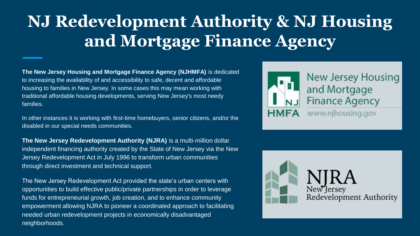### **NJ Redevelopment Authority & NJ Housing and Mortgage Finance Agency**

**The New Jersey Housing and Mortgage Finance Agency (NJHMFA)** is dedicated to increasing the availability of and accessibility to safe, decent and affordable housing to families in New Jersey. In some cases this may mean working with traditional affordable housing developments, serving New Jersey's most needy families.

In other instances it is working with first-time homebuyers, senior citizens, and/or the disabled in our special needs communities.

**The New Jersey Redevelopment Authority (NJRA)** is a multi-million dollar independent financing authority created by the State of New Jersey via the New Jersey Redevelopment Act in July 1996 to transform urban communities through direct investment and technical support.

The New Jersey Redevelopment Act provided the state's urban centers with opportunities to build effective public/private partnerships in order to leverage funds for entrepreneurial growth, job creation, and to enhance community empowerment allowing NJRA to pioneer a coordinated approach to facilitating needed urban redevelopment projects in economically disadvantaged neighborhoods.



New Jersey Housing and Mortgage **Finance Agency** www.njhousing.gov

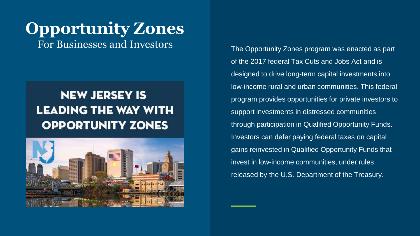# **Opportunity Zones**

#### **NEW JERSEY IS LEADING THE WAY WITH OPPORTUNITY ZONES**



For Businesses and Investors The Opportunity Zones program was enacted as part of the 2017 federal Tax Cuts and Jobs Act and is designed to drive long-term capital investments into low-income rural and urban communities. This federal program provides opportunities for private investors to support investments in distressed communities through participation in Qualified Opportunity Funds. Investors can defer paying federal taxes on capital gains reinvested in Qualified Opportunity Funds that invest in low-income communities, under rules released by the U.S. Department of the Treasury.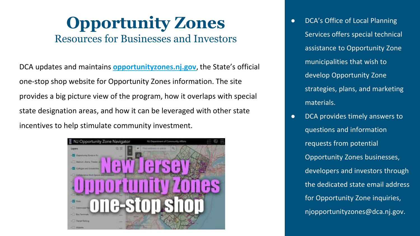#### **Opportunity Zones** Resources for Businesses and Investors

DCA updates and maintains **[opportunityzones.nj.gov](http://www.opportunityzones.nj.gov/)**, the State's official one-stop shop website for Opportunity Zones information. The site provides a big picture view of the program, how it overlaps with special state designation areas, and how it can be leveraged with other state incentives to help stimulate community investment.



● DCA's Office of Local Planning Services offers special technical assistance to Opportunity Zone municipalities that wish to develop Opportunity Zone strategies, plans, and marketing materials.

● DCA provides timely answers to questions and information requests from potential Opportunity Zones businesses, developers and investors through the dedicated state email address for Opportunity Zone inquiries, njopportunityzones@dca.nj.gov.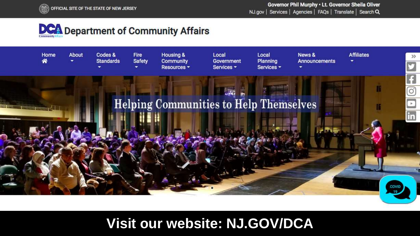





**Visit our website: NJ.GOV/DCA**